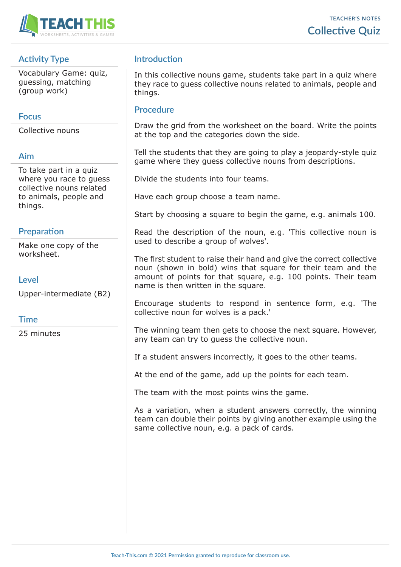

# **Activity Type**

Vocabulary Game: quiz, guessing, matching (group work)

## **Focus**

Collective nouns

### **Aim**

To take part in a quiz where you race to guess collective nouns related to animals, people and things.

## **Preparation**

Make one copy of the worksheet.

### **Level**

Upper-intermediate (B2)

### **Time**

25 minutes

# **Introduction**

In this collective nouns game, students take part in a quiz where they race to guess collective nouns related to animals, people and things.

### **Procedure**

Draw the grid from the worksheet on the board. Write the points at the top and the categories down the side.

Tell the students that they are going to play a jeopardy-style quiz game where they guess collective nouns from descriptions.

Divide the students into four teams.

Have each group choose a team name.

Start by choosing a square to begin the game, e.g. animals 100.

Read the description of the noun, e.g. 'This collective noun is used to describe a group of wolves'.

The first student to raise their hand and give the correct collective noun (shown in bold) wins that square for their team and the amount of points for that square, e.g. 100 points. Their team name is then written in the square.

Encourage students to respond in sentence form, e.g. 'The collective noun for wolves is a pack.'

The winning team then gets to choose the next square. However, any team can try to guess the collective noun.

If a student answers incorrectly, it goes to the other teams.

At the end of the game, add up the points for each team.

The team with the most points wins the game.

As a variation, when a student answers correctly, the winning team can double their points by giving another example using the same collective noun, e.g. a pack of cards.